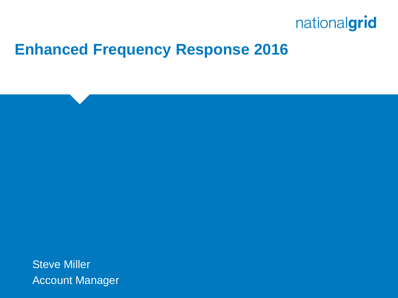

## **Enhanced Frequency Response 2016**

Steve Miller Account Manager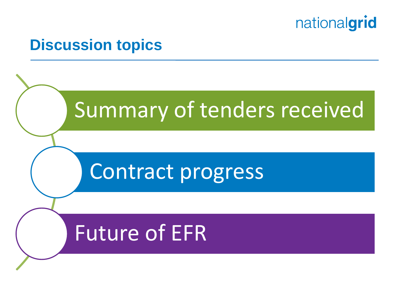

#### **Discussion topics**

# Summary of tenders received

# Contract progress

# Future of EFR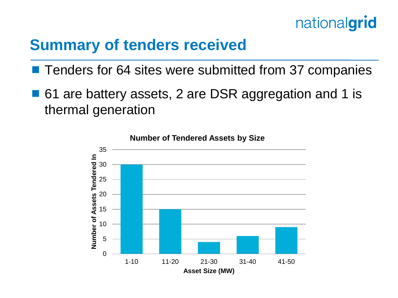

## **Summary of tenders received**

- Tenders for 64 sites were submitted from 37 companies
- 61 are battery assets, 2 are DSR aggregation and 1 is thermal generation

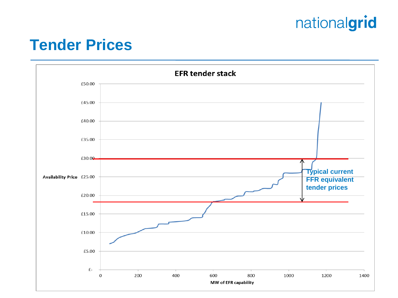#### **Tender Prices**

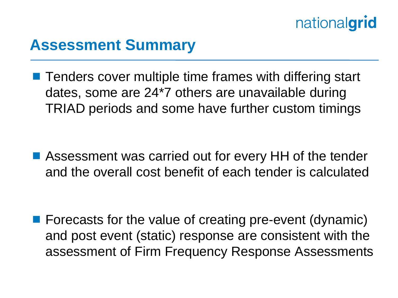## **Assessment Summary**

**Tenders cover multiple time frames with differing start** dates, some are 24\*7 others are unavailable during TRIAD periods and some have further custom timings

■ Assessment was carried out for every HH of the tender and the overall cost benefit of each tender is calculated

**F** Forecasts for the value of creating pre-event (dynamic) and post event (static) response are consistent with the assessment of Firm Frequency Response Assessments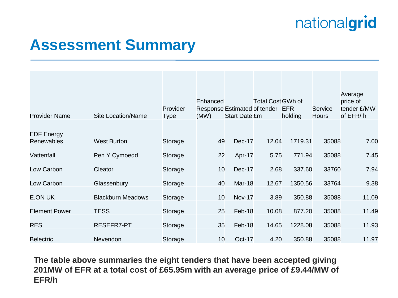## **Assessment Summary**

|                                        |                           | Provider | Enhanced        | Response Estimated of tender | <b>Total Cost GWh of</b> | <b>EFR</b> | Service      | Average<br>price of<br>tender £/MW |
|----------------------------------------|---------------------------|----------|-----------------|------------------------------|--------------------------|------------|--------------|------------------------------------|
| <b>Provider Name</b>                   | <b>Site Location/Name</b> | Type     | (MW)            | <b>Start Date £m</b>         |                          | holding    | <b>Hours</b> | of EFR/h                           |
| <b>EDF Energy</b><br><b>Renewables</b> | <b>West Burton</b>        | Storage  | 49              | <b>Dec-17</b>                | 12.04                    | 1719.31    | 35088        | 7.00                               |
|                                        |                           |          |                 |                              |                          |            |              |                                    |
| Vattenfall                             | Pen Y Cymoedd             | Storage  | 22              | Apr-17                       | 5.75                     | 771.94     | 35088        | 7.45                               |
| Low Carbon                             | Cleator                   | Storage  | 10 <sup>°</sup> | Dec-17                       | 2.68                     | 337.60     | 33760        | 7.94                               |
| Low Carbon                             | Glassenbury               | Storage  | 40              | Mar-18                       | 12.67                    | 1350.56    | 33764        | 9.38                               |
| <b>E.ON UK</b>                         | <b>Blackburn Meadows</b>  | Storage  | 10              | <b>Nov-17</b>                | 3.89                     | 350.88     | 35088        | 11.09                              |
| <b>Element Power</b>                   | <b>TESS</b>               | Storage  | 25              | Feb-18                       | 10.08                    | 877.20     | 35088        | 11.49                              |
| <b>RES</b>                             | RESEFR7-PT                | Storage  | 35              | Feb-18                       | 14.65                    | 1228.08    | 35088        | 11.93                              |
| <b>Belectric</b>                       | Nevendon                  | Storage  | 10              | <b>Oct-17</b>                | 4.20                     | 350.88     | 35088        | 11.97                              |

**The table above summaries the eight tenders that have been accepted giving 201MW of EFR at a total cost of £65.95m with an average price of £9.44/MW of EFR/h**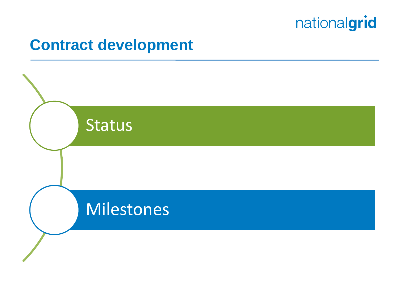

## **Contract development**

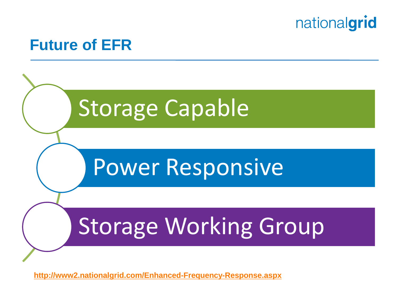

#### **Future of EFR**



**<http://www2.nationalgrid.com/Enhanced-Frequency-Response.aspx>**